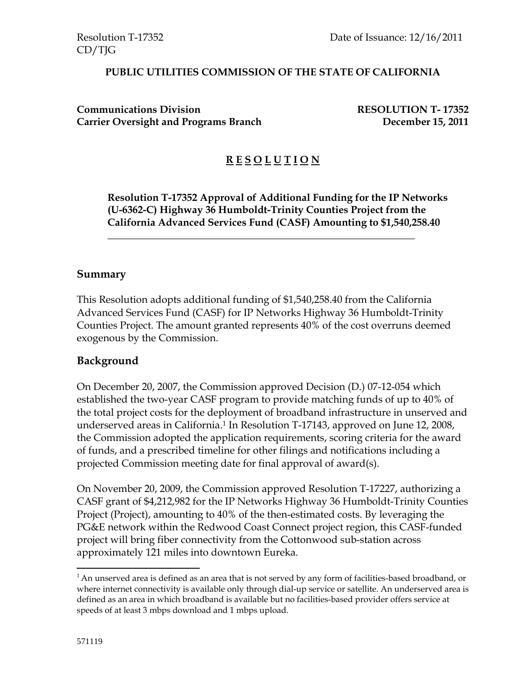#### **PUBLIC UTILITIES COMMISSION OF THE STATE OF CALIFORNIA**

**Communications Division RESOLUTION T- 17352** Carrier Oversight and Programs Branch December 15, 2011

# **R E S O L U T I O N**

**Resolution T-17352 Approval of Additional Funding for the IP Networks (U-6362-C) Highway 36 Humboldt-Trinity Counties Project from the California Advanced Services Fund (CASF) Amounting to \$1,540,258.40** 

#### **Summary**

This Resolution adopts additional funding of \$1,540,258.40 from the California Advanced Services Fund (CASF) for IP Networks Highway 36 Humboldt-Trinity Counties Project. The amount granted represents 40% of the cost overruns deemed exogenous by the Commission.

\_\_\_\_\_\_\_\_\_\_\_\_\_\_\_\_\_\_\_\_\_\_\_\_\_\_\_\_\_\_\_\_\_\_\_\_\_\_\_\_\_\_\_\_\_\_\_\_\_\_\_\_\_\_\_\_\_\_\_\_

#### **Background**

On December 20, 2007, the Commission approved Decision (D.) 07-12-054 which established the two-year CASF program to provide matching funds of up to 40% of the total project costs for the deployment of broadband infrastructure in unserved and underserved areas in California.1 In Resolution T-17143, approved on June 12, 2008, the Commission adopted the application requirements, scoring criteria for the award of funds, and a prescribed timeline for other filings and notifications including a projected Commission meeting date for final approval of award(s).

On November 20, 2009, the Commission approved Resolution T-17227, authorizing a CASF grant of \$4,212,982 for the IP Networks Highway 36 Humboldt-Trinity Counties Project (Project), amounting to 40% of the then-estimated costs. By leveraging the PG&E network within the Redwood Coast Connect project region, this CASF-funded project will bring fiber connectivity from the Cottonwood sub-station across approximately 121 miles into downtown Eureka.

 $\overline{a}$ 

<sup>&</sup>lt;sup>1</sup> An unserved area is defined as an area that is not served by any form of facilities-based broadband, or where internet connectivity is available only through dial-up service or satellite. An underserved area is defined as an area in which broadband is available but no facilities-based provider offers service at speeds of at least 3 mbps download and 1 mbps upload.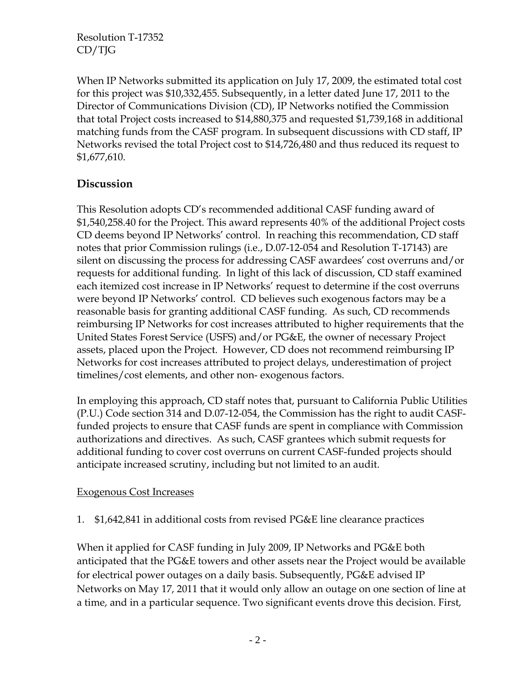When IP Networks submitted its application on July 17, 2009, the estimated total cost for this project was \$10,332,455. Subsequently, in a letter dated June 17, 2011 to the Director of Communications Division (CD), IP Networks notified the Commission that total Project costs increased to \$14,880,375 and requested \$1,739,168 in additional matching funds from the CASF program. In subsequent discussions with CD staff, IP Networks revised the total Project cost to \$14,726,480 and thus reduced its request to \$1,677,610.

# **Discussion**

This Resolution adopts CD's recommended additional CASF funding award of \$1,540,258.40 for the Project. This award represents 40% of the additional Project costs CD deems beyond IP Networks' control. In reaching this recommendation, CD staff notes that prior Commission rulings (i.e., D.07-12-054 and Resolution T-17143) are silent on discussing the process for addressing CASF awardees' cost overruns and/or requests for additional funding. In light of this lack of discussion, CD staff examined each itemized cost increase in IP Networks' request to determine if the cost overruns were beyond IP Networks' control. CD believes such exogenous factors may be a reasonable basis for granting additional CASF funding. As such, CD recommends reimbursing IP Networks for cost increases attributed to higher requirements that the United States Forest Service (USFS) and/or PG&E, the owner of necessary Project assets, placed upon the Project. However, CD does not recommend reimbursing IP Networks for cost increases attributed to project delays, underestimation of project timelines/cost elements, and other non- exogenous factors.

In employing this approach, CD staff notes that, pursuant to California Public Utilities (P.U.) Code section 314 and D.07-12-054, the Commission has the right to audit CASFfunded projects to ensure that CASF funds are spent in compliance with Commission authorizations and directives. As such, CASF grantees which submit requests for additional funding to cover cost overruns on current CASF-funded projects should anticipate increased scrutiny, including but not limited to an audit.

#### Exogenous Cost Increases

# 1. \$1,642,841 in additional costs from revised PG&E line clearance practices

When it applied for CASF funding in July 2009, IP Networks and PG&E both anticipated that the PG&E towers and other assets near the Project would be available for electrical power outages on a daily basis. Subsequently, PG&E advised IP Networks on May 17, 2011 that it would only allow an outage on one section of line at a time, and in a particular sequence. Two significant events drove this decision. First,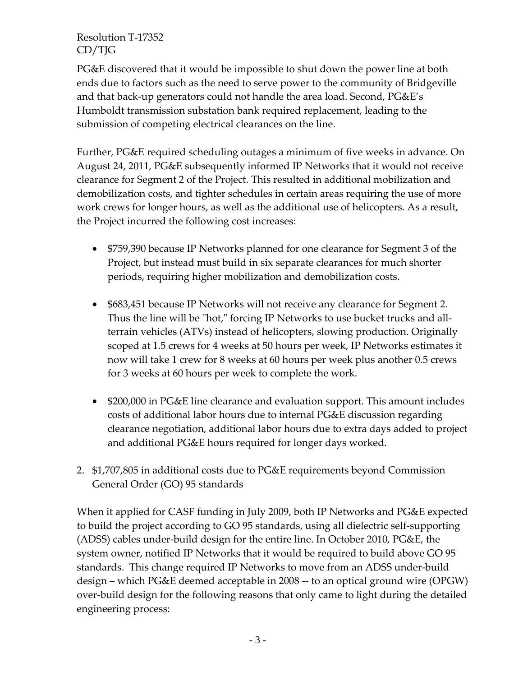PG&E discovered that it would be impossible to shut down the power line at both ends due to factors such as the need to serve power to the community of Bridgeville and that back-up generators could not handle the area load. Second, PG&E's Humboldt transmission substation bank required replacement, leading to the submission of competing electrical clearances on the line.

Further, PG&E required scheduling outages a minimum of five weeks in advance. On August 24, 2011, PG&E subsequently informed IP Networks that it would not receive clearance for Segment 2 of the Project. This resulted in additional mobilization and demobilization costs, and tighter schedules in certain areas requiring the use of more work crews for longer hours, as well as the additional use of helicopters. As a result, the Project incurred the following cost increases:

- \$759,390 because IP Networks planned for one clearance for Segment 3 of the Project, but instead must build in six separate clearances for much shorter periods, requiring higher mobilization and demobilization costs.
- \$683,451 because IP Networks will not receive any clearance for Segment 2. Thus the line will be "hot," forcing IP Networks to use bucket trucks and allterrain vehicles (ATVs) instead of helicopters, slowing production. Originally scoped at 1.5 crews for 4 weeks at 50 hours per week, IP Networks estimates it now will take 1 crew for 8 weeks at 60 hours per week plus another 0.5 crews for 3 weeks at 60 hours per week to complete the work.
- \$200,000 in PG&E line clearance and evaluation support. This amount includes costs of additional labor hours due to internal PG&E discussion regarding clearance negotiation, additional labor hours due to extra days added to project and additional PG&E hours required for longer days worked.
- 2. \$1,707,805 in additional costs due to PG&E requirements beyond Commission General Order (GO) 95 standards

When it applied for CASF funding in July 2009, both IP Networks and PG&E expected to build the project according to GO 95 standards, using all dielectric self-supporting (ADSS) cables under-build design for the entire line. In October 2010, PG&E, the system owner, notified IP Networks that it would be required to build above GO 95 standards. This change required IP Networks to move from an ADSS under-build design – which PG&E deemed acceptable in 2008 -- to an optical ground wire (OPGW) over-build design for the following reasons that only came to light during the detailed engineering process: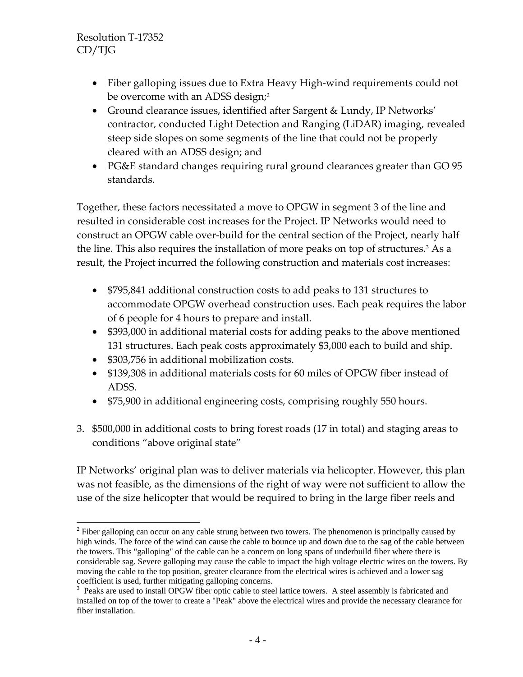- Fiber galloping issues due to Extra Heavy High-wind requirements could not be overcome with an ADSS design;<sup>2</sup>
- Ground clearance issues, identified after Sargent & Lundy, IP Networks' contractor, conducted Light Detection and Ranging (LiDAR) imaging, revealed steep side slopes on some segments of the line that could not be properly cleared with an ADSS design; and
- PG&E standard changes requiring rural ground clearances greater than GO 95 standards.

Together, these factors necessitated a move to OPGW in segment 3 of the line and resulted in considerable cost increases for the Project. IP Networks would need to construct an OPGW cable over-build for the central section of the Project, nearly half the line. This also requires the installation of more peaks on top of structures.3 As a result, the Project incurred the following construction and materials cost increases:

- \$795,841 additional construction costs to add peaks to 131 structures to accommodate OPGW overhead construction uses. Each peak requires the labor of 6 people for 4 hours to prepare and install.
- \$393,000 in additional material costs for adding peaks to the above mentioned 131 structures. Each peak costs approximately \$3,000 each to build and ship.
- \$303,756 in additional mobilization costs.
- \$139,308 in additional materials costs for 60 miles of OPGW fiber instead of ADSS.
- \$75,900 in additional engineering costs, comprising roughly 550 hours.
- 3. \$500,000 in additional costs to bring forest roads (17 in total) and staging areas to conditions "above original state"

IP Networks' original plan was to deliver materials via helicopter. However, this plan was not feasible, as the dimensions of the right of way were not sufficient to allow the use of the size helicopter that would be required to bring in the large fiber reels and

 $\overline{a}$  $2^2$  Fiber galloping can occur on any cable strung between two towers. The phenomenon is principally caused by high winds. The force of the wind can cause the cable to bounce up and down due to the sag of the cable between the towers. This "galloping" of the cable can be a concern on long spans of underbuild fiber where there is considerable sag. Severe galloping may cause the cable to impact the high voltage electric wires on the towers. By moving the cable to the top position, greater clearance from the electrical wires is achieved and a lower sag coefficient is used, further mitigating galloping concerns.

<sup>&</sup>lt;sup>3</sup> Peaks are used to install OPGW fiber optic cable to steel lattice towers. A steel assembly is fabricated and installed on top of the tower to create a "Peak" above the electrical wires and provide the necessary clearance for fiber installation.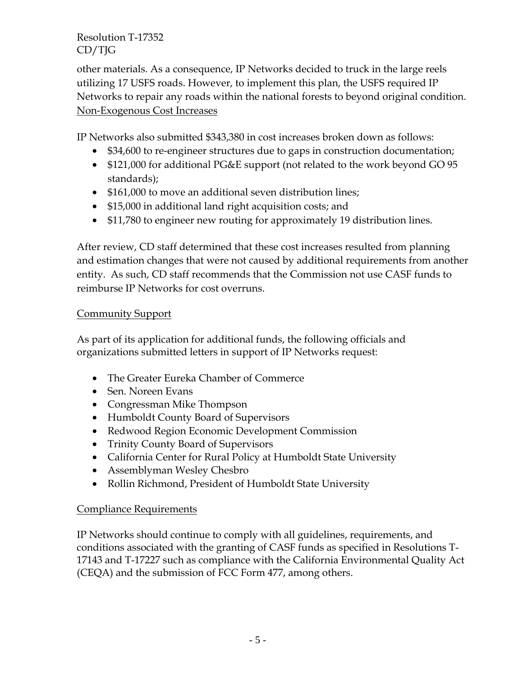other materials. As a consequence, IP Networks decided to truck in the large reels utilizing 17 USFS roads. However, to implement this plan, the USFS required IP Networks to repair any roads within the national forests to beyond original condition. Non-Exogenous Cost Increases

IP Networks also submitted \$343,380 in cost increases broken down as follows:

- \$34,600 to re-engineer structures due to gaps in construction documentation;
- \$121,000 for additional PG&E support (not related to the work beyond GO 95 standards);
- \$161,000 to move an additional seven distribution lines;
- \$15,000 in additional land right acquisition costs; and
- \$11,780 to engineer new routing for approximately 19 distribution lines.

After review, CD staff determined that these cost increases resulted from planning and estimation changes that were not caused by additional requirements from another entity. As such, CD staff recommends that the Commission not use CASF funds to reimburse IP Networks for cost overruns.

### **Community Support**

As part of its application for additional funds, the following officials and organizations submitted letters in support of IP Networks request:

- The Greater Eureka Chamber of Commerce
- Sen. Noreen Evans
- Congressman Mike Thompson
- Humboldt County Board of Supervisors
- Redwood Region Economic Development Commission
- Trinity County Board of Supervisors
- California Center for Rural Policy at Humboldt State University
- Assemblyman Wesley Chesbro
- Rollin Richmond, President of Humboldt State University

#### Compliance Requirements

IP Networks should continue to comply with all guidelines, requirements, and conditions associated with the granting of CASF funds as specified in Resolutions T-17143 and T-17227 such as compliance with the California Environmental Quality Act (CEQA) and the submission of FCC Form 477, among others.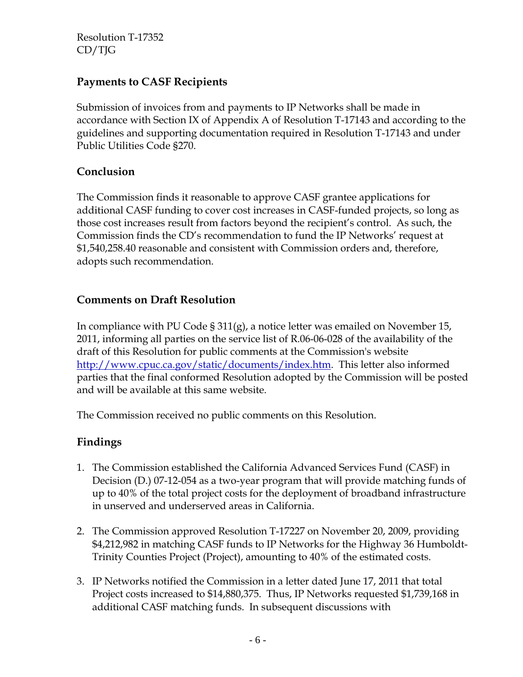# **Payments to CASF Recipients**

Submission of invoices from and payments to IP Networks shall be made in accordance with Section IX of Appendix A of Resolution T-17143 and according to the guidelines and supporting documentation required in Resolution T-17143 and under Public Utilities Code §270.

# **Conclusion**

The Commission finds it reasonable to approve CASF grantee applications for additional CASF funding to cover cost increases in CASF-funded projects, so long as those cost increases result from factors beyond the recipient's control. As such, the Commission finds the CD's recommendation to fund the IP Networks' request at \$1,540,258.40 reasonable and consistent with Commission orders and, therefore, adopts such recommendation.

### **Comments on Draft Resolution**

In compliance with PU Code § 311(g), a notice letter was emailed on November 15, 2011, informing all parties on the service list of R.06-06-028 of the availability of the draft of this Resolution for public comments at the Commission's website http://www.cpuc.ca.gov/static/documents/index.htm. This letter also informed parties that the final conformed Resolution adopted by the Commission will be posted and will be available at this same website.

The Commission received no public comments on this Resolution.

# **Findings**

- 1. The Commission established the California Advanced Services Fund (CASF) in Decision (D.) 07-12-054 as a two-year program that will provide matching funds of up to 40% of the total project costs for the deployment of broadband infrastructure in unserved and underserved areas in California.
- 2. The Commission approved Resolution T-17227 on November 20, 2009, providing \$4,212,982 in matching CASF funds to IP Networks for the Highway 36 Humboldt-Trinity Counties Project (Project), amounting to 40% of the estimated costs.
- 3. IP Networks notified the Commission in a letter dated June 17, 2011 that total Project costs increased to \$14,880,375. Thus, IP Networks requested \$1,739,168 in additional CASF matching funds. In subsequent discussions with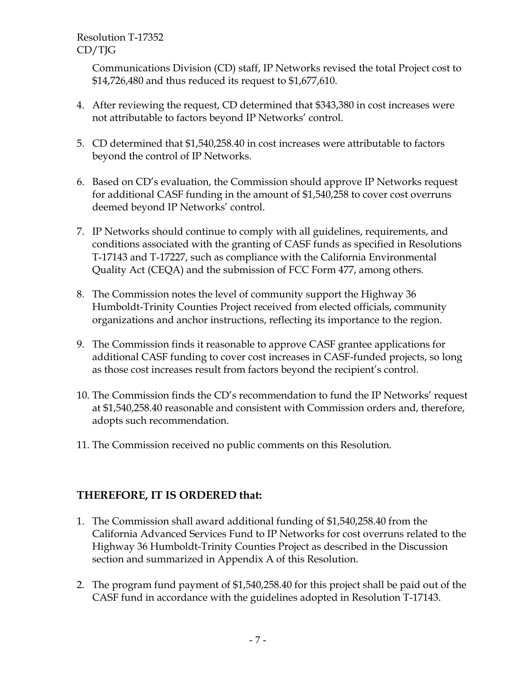Communications Division (CD) staff, IP Networks revised the total Project cost to \$14,726,480 and thus reduced its request to \$1,677,610.

- 4. After reviewing the request, CD determined that \$343,380 in cost increases were not attributable to factors beyond IP Networks' control.
- 5. CD determined that \$1,540,258.40 in cost increases were attributable to factors beyond the control of IP Networks.
- 6. Based on CD's evaluation, the Commission should approve IP Networks request for additional CASF funding in the amount of \$1,540,258 to cover cost overruns deemed beyond IP Networks' control.
- 7. IP Networks should continue to comply with all guidelines, requirements, and conditions associated with the granting of CASF funds as specified in Resolutions T-17143 and T-17227, such as compliance with the California Environmental Quality Act (CEQA) and the submission of FCC Form 477, among others.
- 8. The Commission notes the level of community support the Highway 36 Humboldt-Trinity Counties Project received from elected officials, community organizations and anchor instructions, reflecting its importance to the region.
- 9. The Commission finds it reasonable to approve CASF grantee applications for additional CASF funding to cover cost increases in CASF-funded projects, so long as those cost increases result from factors beyond the recipient's control.
- 10. The Commission finds the CD's recommendation to fund the IP Networks' request at \$1,540,258.40 reasonable and consistent with Commission orders and, therefore, adopts such recommendation.
- 11. The Commission received no public comments on this Resolution.

# **THEREFORE, IT IS ORDERED that:**

- 1. The Commission shall award additional funding of \$1,540,258.40 from the California Advanced Services Fund to IP Networks for cost overruns related to the Highway 36 Humboldt-Trinity Counties Project as described in the Discussion section and summarized in Appendix A of this Resolution.
- 2. The program fund payment of \$1,540,258.40 for this project shall be paid out of the CASF fund in accordance with the guidelines adopted in Resolution T-17143.